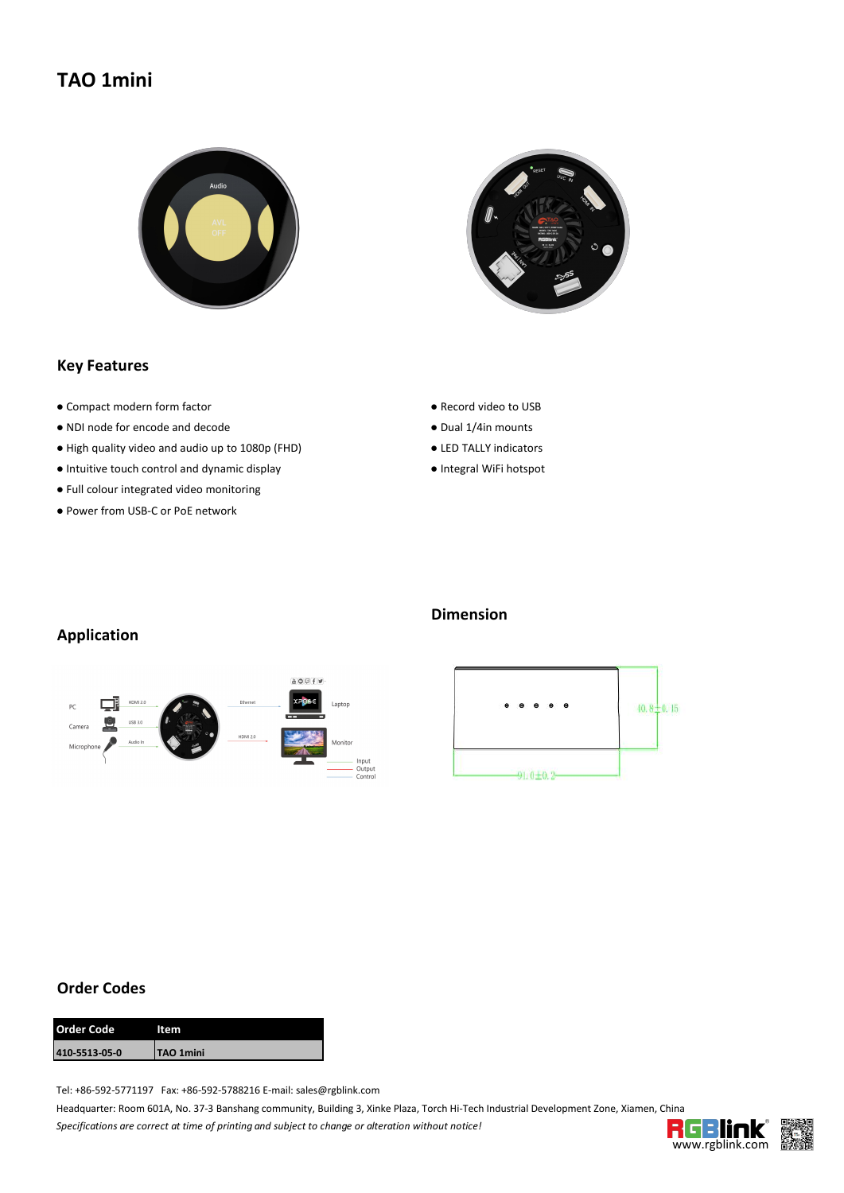# **TAO 1mini**





#### **Key Features**

- Compact modern form factor <br>● Record video to USB
- NDI node for encode and decode entrancement and the Dual 1/4in mounts
- High quality video and audio up to 1080p (FHD) LED TALLY indicators
- Intuitive touch control and dynamic display <br>● Integral WiFi hotspot
- Full colour integrated video monitoring
- Power from USB-C or PoE network
- 
- 
- 
- 

### **Application**



## **Dimension**



#### **Order Codes**

| <b>Order Code</b> | ltem             |
|-------------------|------------------|
| 410-5513-05-0     | <b>TAO 1mini</b> |

Tel: +86-592-5771197 Fax: +86-592-5788216 E-mail: sales@rgblink.com

Headquarter: Room 601A, No. 37-3 Banshang community, Building 3, Xinke Plaza, Torch Hi-Tech Industrial Development Zone, Xiamen, China *Specifications are correctat time of printing and subject to change or alteration without notice!*